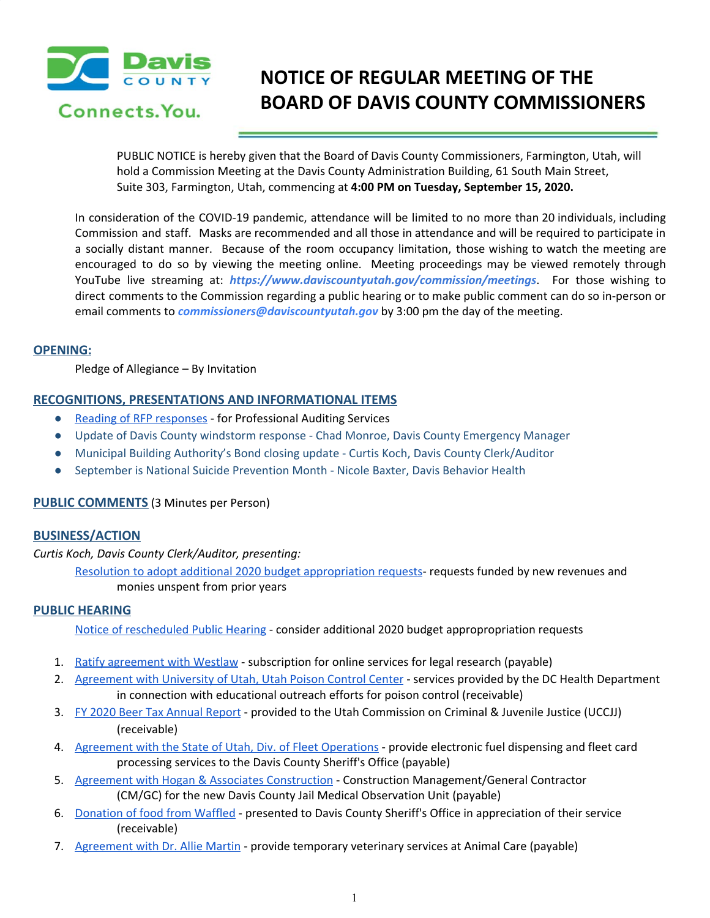

# **NOTICE OF REGULAR MEETING OF THE BOARD OF DAVIS COUNTY COMMISSIONERS**

PUBLIC NOTICE is hereby given that the Board of Davis County Commissioners, Farmington, Utah, will hold a Commission Meeting at the Davis County Administration Building, 61 South Main Street, Suite 303, Farmington, Utah, commencing at **4:00 PM on Tuesday, September 15, 2020.**

In consideration of the COVID-19 pandemic, attendance will be limited to no more than 20 individuals, including Commission and staff. Masks are recommended and all those in attendance and will be required to participate in a socially distant manner. Because of the room occupancy limitation, those wishing to watch the meeting are encouraged to do so by viewing the meeting online. Meeting proceedings may be viewed remotely through YouTube live streaming at: *https://www.daviscountyutah.gov/commission/meetings*. For those wishing to direct comments to the Commission regarding a public hearing or to make public comment can do so in-person or email comments to *commissioners@daviscountyutah.gov* by 3:00 pm the day of the meeting.

#### **OPENING:**

Pledge of Allegiance – By Invitation

### **RECOGNITIONS, PRESENTATIONS AND INFORMATIONAL ITEMS**

- **●** Reading of RFP [responses](https://drive.google.com/file/d/1F_hU1FG6oAkumiztGE_yXfrXwO8UJSZk/view?usp=drivesdk) for Professional Auditing Services
- Update of Davis County windstorm response Chad Monroe, Davis County Emergency Manager
- Municipal Building Authority's Bond closing update Curtis Koch, Davis County Clerk/Auditor
- September is National Suicide Prevention Month Nicole Baxter, Davis Behavior Health

### **PUBLIC COMMENTS** (3 Minutes per Person)

### **BUSINESS/ACTION**

*Curtis Koch, Davis County Clerk/Auditor, presenting:*

Resolution to adopt additional 2020 budget [appropriation](https://drive.google.com/file/d/1eHKD8LxZ4k5XjlgALMCzQ8ZGA7ahygF4/view?usp=drivesdk) requests- requests funded by new revenues and monies unspent from prior years

### **PUBLIC HEARING**

Notice of [rescheduled](https://drive.google.com/file/d/1mMOzHCN7xrCvU5q7s8VXz-VcvyXSVC9O/view?usp=drivesdk) Public Hearing - consider additional 2020 budget appropropriation requests

- 1. Ratify [agreement](https://drive.google.com/file/d/1A84k_WFtxkevT5BnKE4rPJlJ4Kdr6qsm/view?usp=drivesdk) with Westlaw subscription for online services for legal research (payable)
- 2. [Agreement](https://drive.google.com/file/d/1wVpTwtFcOtJbO1nidA9YslgV0-3sqyHK/view?usp=drivesdk) with University of Utah, Utah Poison Control Center services provided by the DC Health Department in connection with educational outreach efforts for poison control (receivable)
- 3. FY 2020 Beer Tax [Annual](https://drive.google.com/file/d/1wguyQ1lNo-ViggNM760rBdVo3r7iXv_T/view?usp=drivesdk) Report provided to the Utah Commission on Criminal & Juvenile Justice (UCCJJ) (receivable)
- 4. [Agreement](https://drive.google.com/file/d/1cgHGv1b9cEY-cCePYCX8FpdNCoOYW4JD/view?usp=drivesdk) with the State of Utah, Div. of Fleet Operations provide electronic fuel dispensing and fleet card processing services to the Davis County Sheriff's Office (payable)
- 5. Agreement with Hogan & Associates [Construction](https://drive.google.com/file/d/1xuGiZqyzd0ohxNlYgvV9EEPDZgkrHiXJ/view?usp=drivesdk) Construction Management/General Contractor (CM/GC) for the new Davis County Jail Medical Observation Unit (payable[\)](https://drive.google.com/file/d/1eHKD8LxZ4k5XjlgALMCzQ8ZGA7ahygF4/view?usp=drivesdk)
- 6. [Donation](https://drive.google.com/file/d/1eQ36z4rUnVeNKTk8qTOFoPWTdd0bVkOf/view?usp=drivesdk) of food from Waffled presented to Davis County Sheriff's Office in appreciation of their servic[e](https://drive.google.com/file/d/1eQ36z4rUnVeNKTk8qTOFoPWTdd0bVkOf/view?usp=drivesdk) (receivable)
- 7. [Agreement](https://drive.google.com/file/d/14RnrUx1Moc924YaMNYbUZtEhcj8fo4nu/view?usp=drivesdk) with Dr. Allie Martin provide temporary veterinary services at Animal Care (payable)